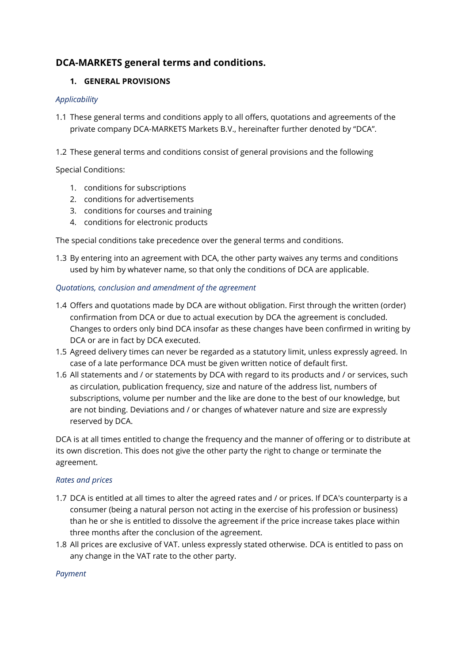# **DCA-MARKETS general terms and conditions.**

## **1. GENERAL PROVISIONS**

#### *Applicability*

- 1.1 These general terms and conditions apply to all offers, quotations and agreements of the private company DCA-MARKETS Markets B.V., hereinafter further denoted by "DCA".
- 1.2 These general terms and conditions consist of general provisions and the following

Special Conditions:

- 1. conditions for subscriptions
- 2. conditions for advertisements
- 3. conditions for courses and training
- 4. conditions for electronic products

The special conditions take precedence over the general terms and conditions.

1.3 By entering into an agreement with DCA, the other party waives any terms and conditions used by him by whatever name, so that only the conditions of DCA are applicable.

### *Quotations, conclusion and amendment of the agreement*

- 1.4 Offers and quotations made by DCA are without obligation. First through the written (order) confirmation from DCA or due to actual execution by DCA the agreement is concluded. Changes to orders only bind DCA insofar as these changes have been confirmed in writing by DCA or are in fact by DCA executed.
- 1.5 Agreed delivery times can never be regarded as a statutory limit, unless expressly agreed. In case of a late performance DCA must be given written notice of default first.
- 1.6 All statements and / or statements by DCA with regard to its products and / or services, such as circulation, publication frequency, size and nature of the address list, numbers of subscriptions, volume per number and the like are done to the best of our knowledge, but are not binding. Deviations and / or changes of whatever nature and size are expressly reserved by DCA.

DCA is at all times entitled to change the frequency and the manner of offering or to distribute at its own discretion. This does not give the other party the right to change or terminate the agreement.

#### *Rates and prices*

- 1.7 DCA is entitled at all times to alter the agreed rates and / or prices. If DCA's counterparty is a consumer (being a natural person not acting in the exercise of his profession or business) than he or she is entitled to dissolve the agreement if the price increase takes place within three months after the conclusion of the agreement.
- 1.8 All prices are exclusive of VAT. unless expressly stated otherwise. DCA is entitled to pass on any change in the VAT rate to the other party.

#### *Payment*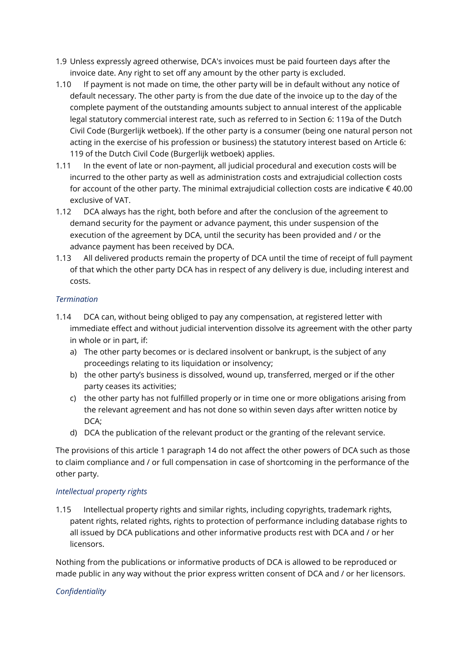- 1.9 Unless expressly agreed otherwise, DCA's invoices must be paid fourteen days after the invoice date. Any right to set off any amount by the other party is excluded.
- 1.10 If payment is not made on time, the other party will be in default without any notice of default necessary. The other party is from the due date of the invoice up to the day of the complete payment of the outstanding amounts subject to annual interest of the applicable legal statutory commercial interest rate, such as referred to in Section 6: 119a of the Dutch Civil Code (Burgerlijk wetboek). If the other party is a consumer (being one natural person not acting in the exercise of his profession or business) the statutory interest based on Article 6: 119 of the Dutch Civil Code (Burgerlijk wetboek) applies.
- 1.11 In the event of late or non-payment, all judicial procedural and execution costs will be incurred to the other party as well as administration costs and extrajudicial collection costs for account of the other party. The minimal extrajudicial collection costs are indicative  $\epsilon$  40.00 exclusive of VAT.
- 1.12 DCA always has the right, both before and after the conclusion of the agreement to demand security for the payment or advance payment, this under suspension of the execution of the agreement by DCA, until the security has been provided and / or the advance payment has been received by DCA.
- 1.13 All delivered products remain the property of DCA until the time of receipt of full payment of that which the other party DCA has in respect of any delivery is due, including interest and costs.

## *Termination*

- 1.14 DCA can, without being obliged to pay any compensation, at registered letter with immediate effect and without judicial intervention dissolve its agreement with the other party in whole or in part, if:
	- a) The other party becomes or is declared insolvent or bankrupt, is the subject of any proceedings relating to its liquidation or insolvency;
	- b) the other party's business is dissolved, wound up, transferred, merged or if the other party ceases its activities;
	- c) the other party has not fulfilled properly or in time one or more obligations arising from the relevant agreement and has not done so within seven days after written notice by DCA:
	- d) DCA the publication of the relevant product or the granting of the relevant service.

The provisions of this article 1 paragraph 14 do not affect the other powers of DCA such as those to claim compliance and / or full compensation in case of shortcoming in the performance of the other party.

#### *Intellectual property rights*

1.15 Intellectual property rights and similar rights, including copyrights, trademark rights, patent rights, related rights, rights to protection of performance including database rights to all issued by DCA publications and other informative products rest with DCA and / or her licensors.

Nothing from the publications or informative products of DCA is allowed to be reproduced or made public in any way without the prior express written consent of DCA and / or her licensors.

## *Confidentiality*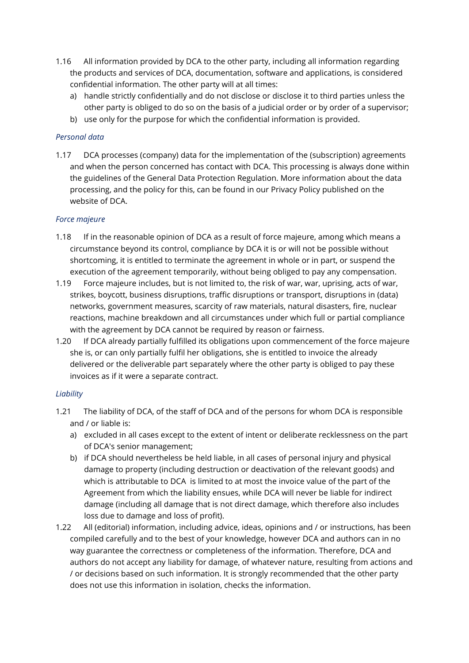- 1.16 All information provided by DCA to the other party, including all information regarding the products and services of DCA, documentation, software and applications, is considered confidential information. The other party will at all times:
	- a) handle strictly confidentially and do not disclose or disclose it to third parties unless the other party is obliged to do so on the basis of a judicial order or by order of a supervisor;
	- b) use only for the purpose for which the confidential information is provided.

#### *Personal data*

1.17 DCA processes (company) data for the implementation of the (subscription) agreements and when the person concerned has contact with DCA. This processing is always done within the guidelines of the General Data Protection Regulation. More information about the data processing, and the policy for this, can be found in our Privacy Policy published on the website of DCA.

#### *Force majeure*

- 1.18 If in the reasonable opinion of DCA as a result of force majeure, among which means a circumstance beyond its control, compliance by DCA it is or will not be possible without shortcoming, it is entitled to terminate the agreement in whole or in part, or suspend the execution of the agreement temporarily, without being obliged to pay any compensation.
- 1.19 Force majeure includes, but is not limited to, the risk of war, war, uprising, acts of war, strikes, boycott, business disruptions, traffic disruptions or transport, disruptions in (data) networks, government measures, scarcity of raw materials, natural disasters, fire, nuclear reactions, machine breakdown and all circumstances under which full or partial compliance with the agreement by DCA cannot be required by reason or fairness.
- 1.20 If DCA already partially fulfilled its obligations upon commencement of the force majeure she is, or can only partially fulfil her obligations, she is entitled to invoice the already delivered or the deliverable part separately where the other party is obliged to pay these invoices as if it were a separate contract.

#### *Liability*

- 1.21 The liability of DCA, of the staff of DCA and of the persons for whom DCA is responsible and / or liable is:
	- a) excluded in all cases except to the extent of intent or deliberate recklessness on the part of DCA's senior management;
	- b) if DCA should nevertheless be held liable, in all cases of personal injury and physical damage to property (including destruction or deactivation of the relevant goods) and which is attributable to DCA is limited to at most the invoice value of the part of the Agreement from which the liability ensues, while DCA will never be liable for indirect damage (including all damage that is not direct damage, which therefore also includes loss due to damage and loss of profit).
- 1.22 All (editorial) information, including advice, ideas, opinions and / or instructions, has been compiled carefully and to the best of your knowledge, however DCA and authors can in no way guarantee the correctness or completeness of the information. Therefore, DCA and authors do not accept any liability for damage, of whatever nature, resulting from actions and / or decisions based on such information. It is strongly recommended that the other party does not use this information in isolation, checks the information.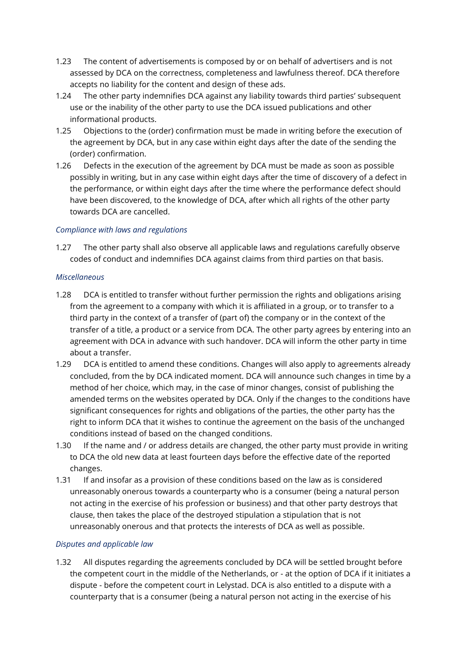- 1.23 The content of advertisements is composed by or on behalf of advertisers and is not assessed by DCA on the correctness, completeness and lawfulness thereof. DCA therefore accepts no liability for the content and design of these ads.
- 1.24 The other party indemnifies DCA against any liability towards third parties' subsequent use or the inability of the other party to use the DCA issued publications and other informational products.
- 1.25 Objections to the (order) confirmation must be made in writing before the execution of the agreement by DCA, but in any case within eight days after the date of the sending the (order) confirmation.
- 1.26 Defects in the execution of the agreement by DCA must be made as soon as possible possibly in writing, but in any case within eight days after the time of discovery of a defect in the performance, or within eight days after the time where the performance defect should have been discovered, to the knowledge of DCA, after which all rights of the other party towards DCA are cancelled.

### *Compliance with laws and regulations*

1.27 The other party shall also observe all applicable laws and regulations carefully observe codes of conduct and indemnifies DCA against claims from third parties on that basis.

#### *Miscellaneous*

- 1.28 DCA is entitled to transfer without further permission the rights and obligations arising from the agreement to a company with which it is affiliated in a group, or to transfer to a third party in the context of a transfer of (part of) the company or in the context of the transfer of a title, a product or a service from DCA. The other party agrees by entering into an agreement with DCA in advance with such handover. DCA will inform the other party in time about a transfer.
- 1.29 DCA is entitled to amend these conditions. Changes will also apply to agreements already concluded, from the by DCA indicated moment. DCA will announce such changes in time by a method of her choice, which may, in the case of minor changes, consist of publishing the amended terms on the websites operated by DCA. Only if the changes to the conditions have significant consequences for rights and obligations of the parties, the other party has the right to inform DCA that it wishes to continue the agreement on the basis of the unchanged conditions instead of based on the changed conditions.
- 1.30 If the name and / or address details are changed, the other party must provide in writing to DCA the old new data at least fourteen days before the effective date of the reported changes.
- 1.31 If and insofar as a provision of these conditions based on the law as is considered unreasonably onerous towards a counterparty who is a consumer (being a natural person not acting in the exercise of his profession or business) and that other party destroys that clause, then takes the place of the destroyed stipulation a stipulation that is not unreasonably onerous and that protects the interests of DCA as well as possible.

#### *Disputes and applicable law*

1.32 All disputes regarding the agreements concluded by DCA will be settled brought before the competent court in the middle of the Netherlands, or - at the option of DCA if it initiates a dispute - before the competent court in Lelystad. DCA is also entitled to a dispute with a counterparty that is a consumer (being a natural person not acting in the exercise of his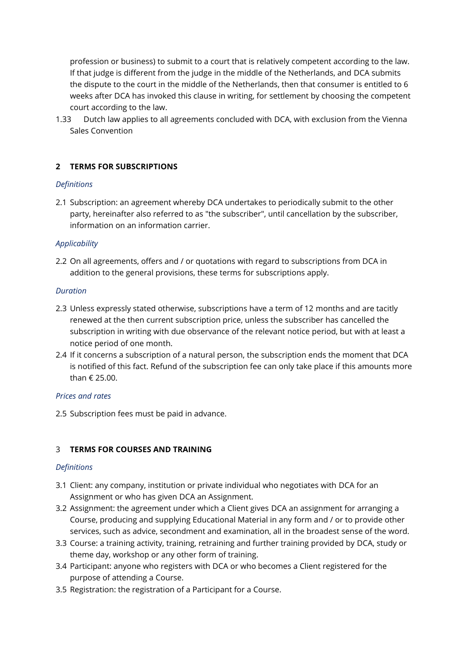profession or business) to submit to a court that is relatively competent according to the law. If that judge is different from the judge in the middle of the Netherlands, and DCA submits the dispute to the court in the middle of the Netherlands, then that consumer is entitled to 6 weeks after DCA has invoked this clause in writing, for settlement by choosing the competent court according to the law.

1.33 Dutch law applies to all agreements concluded with DCA, with exclusion from the Vienna Sales Convention

### **2 TERMS FOR SUBSCRIPTIONS**

### *Definitions*

2.1 Subscription: an agreement whereby DCA undertakes to periodically submit to the other party, hereinafter also referred to as "the subscriber", until cancellation by the subscriber, information on an information carrier.

#### *Applicability*

2.2 On all agreements, offers and / or quotations with regard to subscriptions from DCA in addition to the general provisions, these terms for subscriptions apply.

#### *Duration*

- 2.3 Unless expressly stated otherwise, subscriptions have a term of 12 months and are tacitly renewed at the then current subscription price, unless the subscriber has cancelled the subscription in writing with due observance of the relevant notice period, but with at least a notice period of one month.
- 2.4 If it concerns a subscription of a natural person, the subscription ends the moment that DCA is notified of this fact. Refund of the subscription fee can only take place if this amounts more than € 25.00.

#### *Prices and rates*

2.5 Subscription fees must be paid in advance.

#### 3 **TERMS FOR COURSES AND TRAINING**

#### *Definitions*

- 3.1 Client: any company, institution or private individual who negotiates with DCA for an Assignment or who has given DCA an Assignment.
- 3.2 Assignment: the agreement under which a Client gives DCA an assignment for arranging a Course, producing and supplying Educational Material in any form and / or to provide other services, such as advice, secondment and examination, all in the broadest sense of the word.
- 3.3 Course: a training activity, training, retraining and further training provided by DCA, study or theme day, workshop or any other form of training.
- 3.4 Participant: anyone who registers with DCA or who becomes a Client registered for the purpose of attending a Course.
- 3.5 Registration: the registration of a Participant for a Course.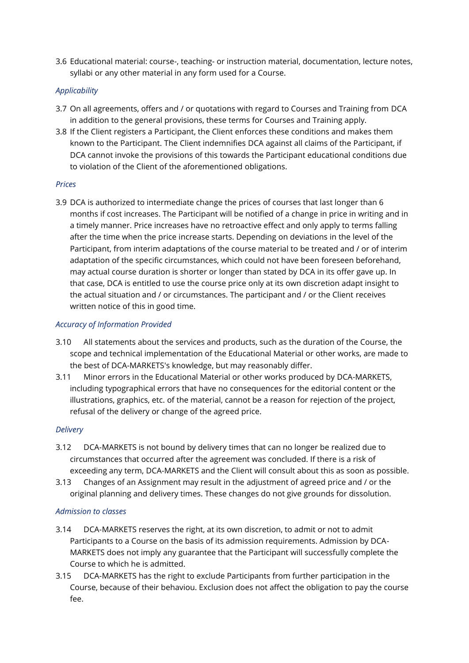3.6 Educational material: course-, teaching- or instruction material, documentation, lecture notes, syllabi or any other material in any form used for a Course.

### *Applicability*

- 3.7 On all agreements, offers and / or quotations with regard to Courses and Training from DCA in addition to the general provisions, these terms for Courses and Training apply.
- 3.8 If the Client registers a Participant, the Client enforces these conditions and makes them known to the Participant. The Client indemnifies DCA against all claims of the Participant, if DCA cannot invoke the provisions of this towards the Participant educational conditions due to violation of the Client of the aforementioned obligations.

#### *Prices*

3.9 DCA is authorized to intermediate change the prices of courses that last longer than 6 months if cost increases. The Participant will be notified of a change in price in writing and in a timely manner. Price increases have no retroactive effect and only apply to terms falling after the time when the price increase starts. Depending on deviations in the level of the Participant, from interim adaptations of the course material to be treated and / or of interim adaptation of the specific circumstances, which could not have been foreseen beforehand, may actual course duration is shorter or longer than stated by DCA in its offer gave up. In that case, DCA is entitled to use the course price only at its own discretion adapt insight to the actual situation and / or circumstances. The participant and / or the Client receives written notice of this in good time.

### *Accuracy of Information Provided*

- 3.10 All statements about the services and products, such as the duration of the Course, the scope and technical implementation of the Educational Material or other works, are made to the best of DCA-MARKETS's knowledge, but may reasonably differ.
- 3.11 Minor errors in the Educational Material or other works produced by DCA-MARKETS, including typographical errors that have no consequences for the editorial content or the illustrations, graphics, etc. of the material, cannot be a reason for rejection of the project, refusal of the delivery or change of the agreed price.

#### *Delivery*

- 3.12 DCA-MARKETS is not bound by delivery times that can no longer be realized due to circumstances that occurred after the agreement was concluded. If there is a risk of exceeding any term, DCA-MARKETS and the Client will consult about this as soon as possible.
- 3.13 Changes of an Assignment may result in the adjustment of agreed price and / or the original planning and delivery times. These changes do not give grounds for dissolution.

#### *Admission to classes*

- 3.14 DCA-MARKETS reserves the right, at its own discretion, to admit or not to admit Participants to a Course on the basis of its admission requirements. Admission by DCA-MARKETS does not imply any guarantee that the Participant will successfully complete the Course to which he is admitted.
- 3.15 DCA-MARKETS has the right to exclude Participants from further participation in the Course, because of their behaviou. Exclusion does not affect the obligation to pay the course fee.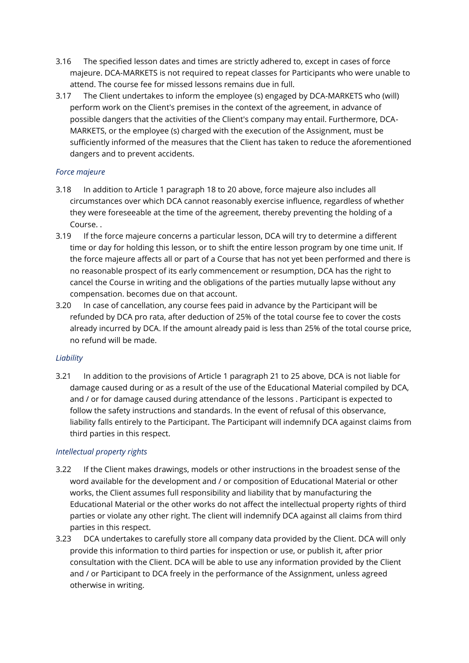- 3.16 The specified lesson dates and times are strictly adhered to, except in cases of force majeure. DCA-MARKETS is not required to repeat classes for Participants who were unable to attend. The course fee for missed lessons remains due in full.
- 3.17 The Client undertakes to inform the employee (s) engaged by DCA-MARKETS who (will) perform work on the Client's premises in the context of the agreement, in advance of possible dangers that the activities of the Client's company may entail. Furthermore, DCA-MARKETS, or the employee (s) charged with the execution of the Assignment, must be sufficiently informed of the measures that the Client has taken to reduce the aforementioned dangers and to prevent accidents.

### *Force majeure*

- 3.18 In addition to Article 1 paragraph 18 to 20 above, force majeure also includes all circumstances over which DCA cannot reasonably exercise influence, regardless of whether they were foreseeable at the time of the agreement, thereby preventing the holding of a Course. .
- 3.19 If the force majeure concerns a particular lesson, DCA will try to determine a different time or day for holding this lesson, or to shift the entire lesson program by one time unit. If the force majeure affects all or part of a Course that has not yet been performed and there is no reasonable prospect of its early commencement or resumption, DCA has the right to cancel the Course in writing and the obligations of the parties mutually lapse without any compensation. becomes due on that account.
- 3.20 In case of cancellation, any course fees paid in advance by the Participant will be refunded by DCA pro rata, after deduction of 25% of the total course fee to cover the costs already incurred by DCA. If the amount already paid is less than 25% of the total course price, no refund will be made.

## *Liability*

3.21 In addition to the provisions of Article 1 paragraph 21 to 25 above, DCA is not liable for damage caused during or as a result of the use of the Educational Material compiled by DCA, and / or for damage caused during attendance of the lessons . Participant is expected to follow the safety instructions and standards. In the event of refusal of this observance, liability falls entirely to the Participant. The Participant will indemnify DCA against claims from third parties in this respect.

## *Intellectual property rights*

- 3.22 If the Client makes drawings, models or other instructions in the broadest sense of the word available for the development and / or composition of Educational Material or other works, the Client assumes full responsibility and liability that by manufacturing the Educational Material or the other works do not affect the intellectual property rights of third parties or violate any other right. The client will indemnify DCA against all claims from third parties in this respect.
- 3.23 DCA undertakes to carefully store all company data provided by the Client. DCA will only provide this information to third parties for inspection or use, or publish it, after prior consultation with the Client. DCA will be able to use any information provided by the Client and / or Participant to DCA freely in the performance of the Assignment, unless agreed otherwise in writing.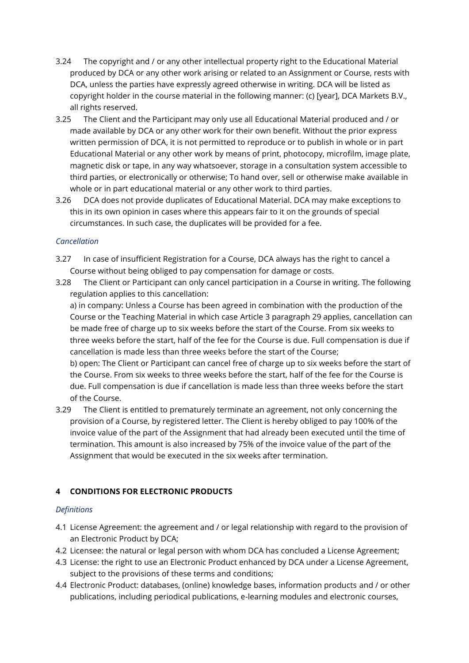- 3.24 The copyright and / or any other intellectual property right to the Educational Material produced by DCA or any other work arising or related to an Assignment or Course, rests with DCA, unless the parties have expressly agreed otherwise in writing. DCA will be listed as copyright holder in the course material in the following manner: (c) [year], DCA Markets B.V., all rights reserved.
- 3.25 The Client and the Participant may only use all Educational Material produced and / or made available by DCA or any other work for their own benefit. Without the prior express written permission of DCA, it is not permitted to reproduce or to publish in whole or in part Educational Material or any other work by means of print, photocopy, microfilm, image plate, magnetic disk or tape, in any way whatsoever, storage in a consultation system accessible to third parties, or electronically or otherwise; To hand over, sell or otherwise make available in whole or in part educational material or any other work to third parties.
- 3.26 DCA does not provide duplicates of Educational Material. DCA may make exceptions to this in its own opinion in cases where this appears fair to it on the grounds of special circumstances. In such case, the duplicates will be provided for a fee.

#### *Cancellation*

- 3.27 In case of insufficient Registration for a Course, DCA always has the right to cancel a Course without being obliged to pay compensation for damage or costs.
- 3.28 The Client or Participant can only cancel participation in a Course in writing. The following regulation applies to this cancellation:

a) in company: Unless a Course has been agreed in combination with the production of the Course or the Teaching Material in which case Article 3 paragraph 29 applies, cancellation can be made free of charge up to six weeks before the start of the Course. From six weeks to three weeks before the start, half of the fee for the Course is due. Full compensation is due if cancellation is made less than three weeks before the start of the Course; b) open: The Client or Participant can cancel free of charge up to six weeks before the start of the Course. From six weeks to three weeks before the start, half of the fee for the Course is

due. Full compensation is due if cancellation is made less than three weeks before the start of the Course.

3.29 The Client is entitled to prematurely terminate an agreement, not only concerning the provision of a Course, by registered letter. The Client is hereby obliged to pay 100% of the invoice value of the part of the Assignment that had already been executed until the time of termination. This amount is also increased by 75% of the invoice value of the part of the Assignment that would be executed in the six weeks after termination.

## **4 CONDITIONS FOR ELECTRONIC PRODUCTS**

#### *Definitions*

- 4.1 License Agreement: the agreement and / or legal relationship with regard to the provision of an Electronic Product by DCA;
- 4.2 Licensee: the natural or legal person with whom DCA has concluded a License Agreement;
- 4.3 License: the right to use an Electronic Product enhanced by DCA under a License Agreement, subject to the provisions of these terms and conditions;
- 4.4 Electronic Product: databases, (online) knowledge bases, information products and / or other publications, including periodical publications, e-learning modules and electronic courses,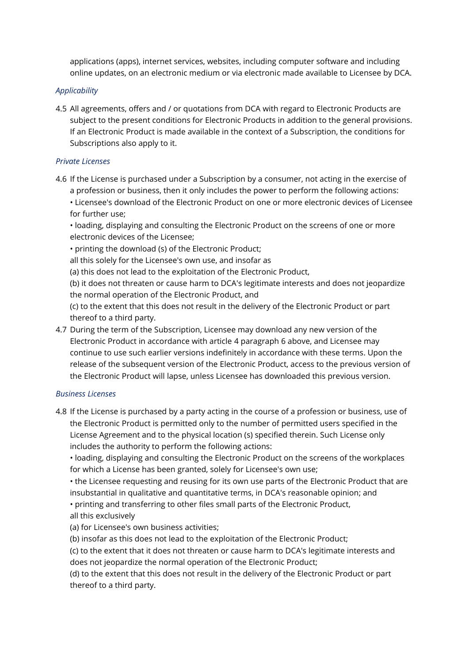applications (apps), internet services, websites, including computer software and including online updates, on an electronic medium or via electronic made available to Licensee by DCA.

#### *Applicability*

4.5 All agreements, offers and / or quotations from DCA with regard to Electronic Products are subject to the present conditions for Electronic Products in addition to the general provisions. If an Electronic Product is made available in the context of a Subscription, the conditions for Subscriptions also apply to it.

#### *Private Licenses*

- 4.6 If the License is purchased under a Subscription by a consumer, not acting in the exercise of a profession or business, then it only includes the power to perform the following actions:
	- Licensee's download of the Electronic Product on one or more electronic devices of Licensee for further use;

• loading, displaying and consulting the Electronic Product on the screens of one or more electronic devices of the Licensee;

• printing the download (s) of the Electronic Product;

all this solely for the Licensee's own use, and insofar as

(a) this does not lead to the exploitation of the Electronic Product,

(b) it does not threaten or cause harm to DCA's legitimate interests and does not jeopardize the normal operation of the Electronic Product, and

(c) to the extent that this does not result in the delivery of the Electronic Product or part thereof to a third party.

4.7 During the term of the Subscription, Licensee may download any new version of the Electronic Product in accordance with article 4 paragraph 6 above, and Licensee may continue to use such earlier versions indefinitely in accordance with these terms. Upon the release of the subsequent version of the Electronic Product, access to the previous version of the Electronic Product will lapse, unless Licensee has downloaded this previous version.

#### *Business Licenses*

4.8 If the License is purchased by a party acting in the course of a profession or business, use of the Electronic Product is permitted only to the number of permitted users specified in the License Agreement and to the physical location (s) specified therein. Such License only includes the authority to perform the following actions:

• loading, displaying and consulting the Electronic Product on the screens of the workplaces for which a License has been granted, solely for Licensee's own use;

• the Licensee requesting and reusing for its own use parts of the Electronic Product that are insubstantial in qualitative and quantitative terms, in DCA's reasonable opinion; and

• printing and transferring to other files small parts of the Electronic Product,

all this exclusively

(a) for Licensee's own business activities;

(b) insofar as this does not lead to the exploitation of the Electronic Product;

(c) to the extent that it does not threaten or cause harm to DCA's legitimate interests and does not jeopardize the normal operation of the Electronic Product;

(d) to the extent that this does not result in the delivery of the Electronic Product or part thereof to a third party.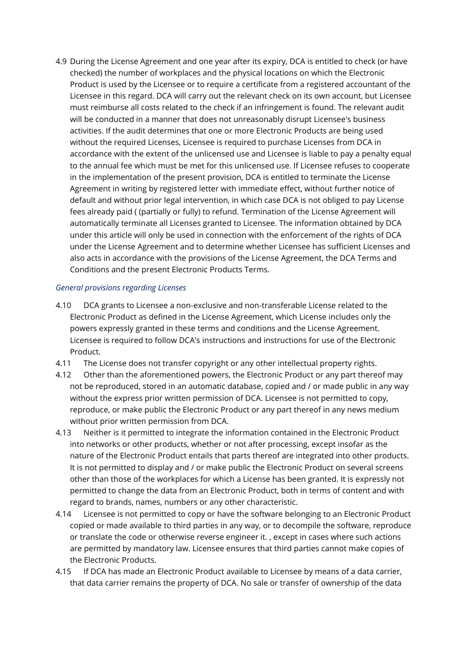4.9 During the License Agreement and one year after its expiry, DCA is entitled to check (or have checked) the number of workplaces and the physical locations on which the Electronic Product is used by the Licensee or to require a certificate from a registered accountant of the Licensee in this regard. DCA will carry out the relevant check on its own account, but Licensee must reimburse all costs related to the check if an infringement is found. The relevant audit will be conducted in a manner that does not unreasonably disrupt Licensee's business activities. If the audit determines that one or more Electronic Products are being used without the required Licenses, Licensee is required to purchase Licenses from DCA in accordance with the extent of the unlicensed use and Licensee is liable to pay a penalty equal to the annual fee which must be met for this unlicensed use. If Licensee refuses to cooperate in the implementation of the present provision, DCA is entitled to terminate the License Agreement in writing by registered letter with immediate effect, without further notice of default and without prior legal intervention, in which case DCA is not obliged to pay License fees already paid ( (partially or fully) to refund. Termination of the License Agreement will automatically terminate all Licenses granted to Licensee. The information obtained by DCA under this article will only be used in connection with the enforcement of the rights of DCA under the License Agreement and to determine whether Licensee has sufficient Licenses and also acts in accordance with the provisions of the License Agreement, the DCA Terms and Conditions and the present Electronic Products Terms.

#### *General provisions regarding Licenses*

- 4.10 DCA grants to Licensee a non-exclusive and non-transferable License related to the Electronic Product as defined in the License Agreement, which License includes only the powers expressly granted in these terms and conditions and the License Agreement. Licensee is required to follow DCA's instructions and instructions for use of the Electronic Product.
- 4.11 The License does not transfer copyright or any other intellectual property rights.
- 4.12 Other than the aforementioned powers, the Electronic Product or any part thereof may not be reproduced, stored in an automatic database, copied and / or made public in any way without the express prior written permission of DCA. Licensee is not permitted to copy, reproduce, or make public the Electronic Product or any part thereof in any news medium without prior written permission from DCA.
- 4.13 Neither is it permitted to integrate the information contained in the Electronic Product into networks or other products, whether or not after processing, except insofar as the nature of the Electronic Product entails that parts thereof are integrated into other products. It is not permitted to display and / or make public the Electronic Product on several screens other than those of the workplaces for which a License has been granted. It is expressly not permitted to change the data from an Electronic Product, both in terms of content and with regard to brands, names, numbers or any other characteristic.
- 4.14 Licensee is not permitted to copy or have the software belonging to an Electronic Product copied or made available to third parties in any way, or to decompile the software, reproduce or translate the code or otherwise reverse engineer it. , except in cases where such actions are permitted by mandatory law. Licensee ensures that third parties cannot make copies of the Electronic Products.
- 4.15 If DCA has made an Electronic Product available to Licensee by means of a data carrier, that data carrier remains the property of DCA. No sale or transfer of ownership of the data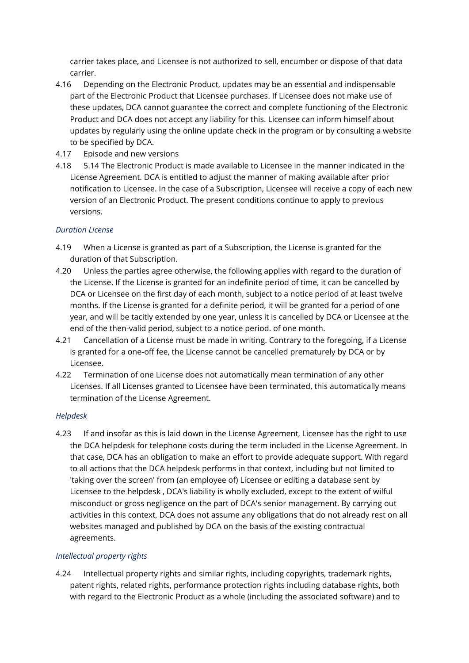carrier takes place, and Licensee is not authorized to sell, encumber or dispose of that data carrier.

- 4.16 Depending on the Electronic Product, updates may be an essential and indispensable part of the Electronic Product that Licensee purchases. If Licensee does not make use of these updates, DCA cannot guarantee the correct and complete functioning of the Electronic Product and DCA does not accept any liability for this. Licensee can inform himself about updates by regularly using the online update check in the program or by consulting a website to be specified by DCA.
- 4.17 Episode and new versions
- 4.18 5.14 The Electronic Product is made available to Licensee in the manner indicated in the License Agreement. DCA is entitled to adjust the manner of making available after prior notification to Licensee. In the case of a Subscription, Licensee will receive a copy of each new version of an Electronic Product. The present conditions continue to apply to previous versions.

### *Duration License*

- 4.19 When a License is granted as part of a Subscription, the License is granted for the duration of that Subscription.
- 4.20 Unless the parties agree otherwise, the following applies with regard to the duration of the License. If the License is granted for an indefinite period of time, it can be cancelled by DCA or Licensee on the first day of each month, subject to a notice period of at least twelve months. If the License is granted for a definite period, it will be granted for a period of one year, and will be tacitly extended by one year, unless it is cancelled by DCA or Licensee at the end of the then-valid period, subject to a notice period. of one month.
- 4.21 Cancellation of a License must be made in writing. Contrary to the foregoing, if a License is granted for a one-off fee, the License cannot be cancelled prematurely by DCA or by Licensee.
- 4.22 Termination of one License does not automatically mean termination of any other Licenses. If all Licenses granted to Licensee have been terminated, this automatically means termination of the License Agreement.

#### *Helpdesk*

4.23 If and insofar as this is laid down in the License Agreement, Licensee has the right to use the DCA helpdesk for telephone costs during the term included in the License Agreement. In that case, DCA has an obligation to make an effort to provide adequate support. With regard to all actions that the DCA helpdesk performs in that context, including but not limited to 'taking over the screen' from (an employee of) Licensee or editing a database sent by Licensee to the helpdesk , DCA's liability is wholly excluded, except to the extent of wilful misconduct or gross negligence on the part of DCA's senior management. By carrying out activities in this context, DCA does not assume any obligations that do not already rest on all websites managed and published by DCA on the basis of the existing contractual agreements.

#### *Intellectual property rights*

4.24 Intellectual property rights and similar rights, including copyrights, trademark rights, patent rights, related rights, performance protection rights including database rights, both with regard to the Electronic Product as a whole (including the associated software) and to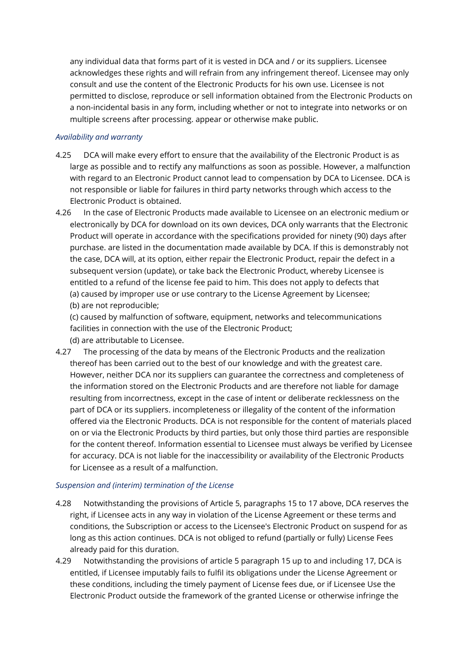any individual data that forms part of it is vested in DCA and / or its suppliers. Licensee acknowledges these rights and will refrain from any infringement thereof. Licensee may only consult and use the content of the Electronic Products for his own use. Licensee is not permitted to disclose, reproduce or sell information obtained from the Electronic Products on a non-incidental basis in any form, including whether or not to integrate into networks or on multiple screens after processing. appear or otherwise make public.

#### *Availability and warranty*

- 4.25 DCA will make every effort to ensure that the availability of the Electronic Product is as large as possible and to rectify any malfunctions as soon as possible. However, a malfunction with regard to an Electronic Product cannot lead to compensation by DCA to Licensee. DCA is not responsible or liable for failures in third party networks through which access to the Electronic Product is obtained.
- 4.26 In the case of Electronic Products made available to Licensee on an electronic medium or electronically by DCA for download on its own devices, DCA only warrants that the Electronic Product will operate in accordance with the specifications provided for ninety (90) days after purchase. are listed in the documentation made available by DCA. If this is demonstrably not the case, DCA will, at its option, either repair the Electronic Product, repair the defect in a subsequent version (update), or take back the Electronic Product, whereby Licensee is entitled to a refund of the license fee paid to him. This does not apply to defects that (a) caused by improper use or use contrary to the License Agreement by Licensee; (b) are not reproducible;

(c) caused by malfunction of software, equipment, networks and telecommunications facilities in connection with the use of the Electronic Product; (d) are attributable to Licensee.

4.27 The processing of the data by means of the Electronic Products and the realization thereof has been carried out to the best of our knowledge and with the greatest care. However, neither DCA nor its suppliers can guarantee the correctness and completeness of the information stored on the Electronic Products and are therefore not liable for damage resulting from incorrectness, except in the case of intent or deliberate recklessness on the part of DCA or its suppliers. incompleteness or illegality of the content of the information offered via the Electronic Products. DCA is not responsible for the content of materials placed on or via the Electronic Products by third parties, but only those third parties are responsible for the content thereof. Information essential to Licensee must always be verified by Licensee for accuracy. DCA is not liable for the inaccessibility or availability of the Electronic Products for Licensee as a result of a malfunction.

#### *Suspension and (interim) termination of the License*

- 4.28 Notwithstanding the provisions of Article 5, paragraphs 15 to 17 above, DCA reserves the right, if Licensee acts in any way in violation of the License Agreement or these terms and conditions, the Subscription or access to the Licensee's Electronic Product on suspend for as long as this action continues. DCA is not obliged to refund (partially or fully) License Fees already paid for this duration.
- 4.29 Notwithstanding the provisions of article 5 paragraph 15 up to and including 17, DCA is entitled, if Licensee imputably fails to fulfil its obligations under the License Agreement or these conditions, including the timely payment of License fees due, or if Licensee Use the Electronic Product outside the framework of the granted License or otherwise infringe the